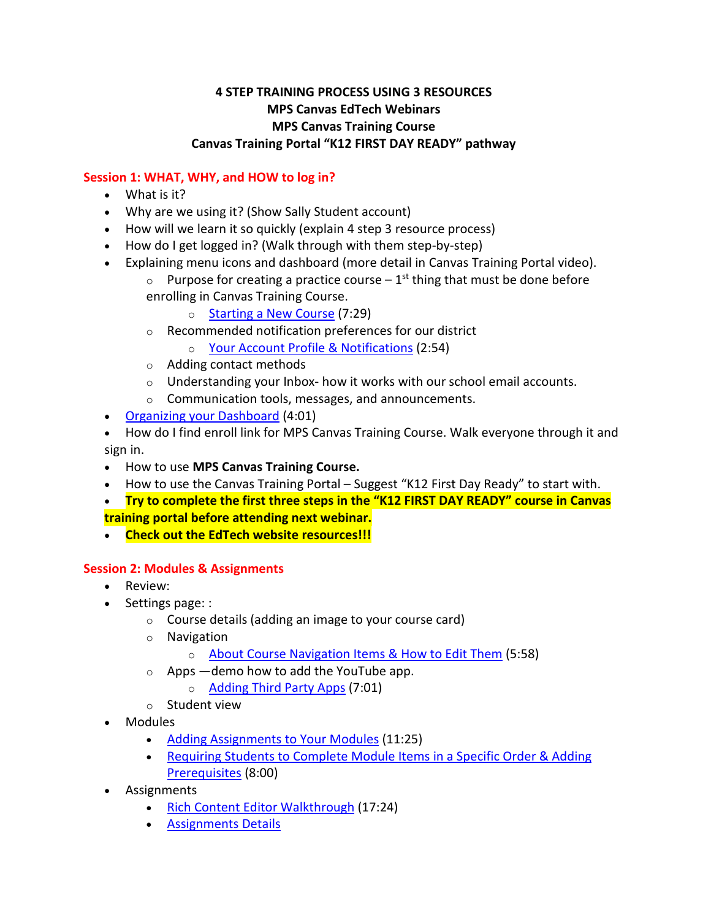## **4 STEP TRAINING PROCESS USING 3 RESOURCES MPS Canvas EdTech Webinars MPS Canvas Training Course Canvas Training Portal "K12 FIRST DAY READY" pathway**

### **Session 1: WHAT, WHY, and HOW to log in?**

- What is it?
- Why are we using it? (Show Sally Student account)
- How will we learn it so quickly (explain 4 step 3 resource process)
- How do I get logged in? (Walk through with them step-by-step)
- Explaining menu icons and dashboard (more detail in Canvas Training Portal video).
	- $\circ$  Purpose for creating a practice course 1<sup>st</sup> thing that must be done before enrolling in Canvas Training Course.
		- o [Starting a New Course](https://mooreps.instructure.com/courses/29167/pages/importing-and-starting-new-courses-7-29?module_item_id=151932) (7:29)
		- o Recommended notification preferences for our district
			- o [Your Account Profile & Notifications](https://mooreps.instructure.com/courses/29167/pages/your-account-profile-and-notifications-2-54?module_item_id=151924) (2:54)
	- o Adding contact methods
	- $\circ$  Understanding your Inbox- how it works with our school email accounts.
	- o Communication tools, messages, and announcements.
- [Organizing your Dashboard](https://mooreps.instructure.com/courses/29167/pages/organizing-your-dashboard-4-01?module_item_id=151925) (4:01)
- How do I find enroll link for MPS Canvas Training Course. Walk everyone through it and sign in.
- How to use **MPS Canvas Training Course.**
- How to use the Canvas Training Portal Suggest "K12 First Day Ready" to start with.
- **Try to complete the first three steps in the "K12 FIRST DAY READY" course in Canvas training portal before attending next webinar.**
- **Check out the EdTech website resources!!!**

#### **Session 2: Modules & Assignments**

- Review:
- Settings page: :
	- o Course details (adding an image to your course card)
	- o Navigation
		- o [About Course Navigation Items & How to Edit Them](https://mooreps.instructure.com/courses/29167/pages/about-course-navigation-items-and-how-to-edit-them-5-58?module_item_id=151927) (5:58)
	- $\circ$  Apps —demo how to add the YouTube app.
		- o [Adding Third Party Apps](https://mooreps.instructure.com/courses/29167/pages/adding-third-party-apps-7-01?module_item_id=151929) (7:01)
	- o Student view
- Modules
	- [Adding Assignments to Your Modules](https://mooreps.instructure.com/courses/29167/pages/adding-assignments-to-your-modules-11-25?module_item_id=151936) (11:25)
	- [Requiring Students to Complete Module Items in a Specific Order & Adding](https://mooreps.instructure.com/courses/29167/pages/requiring-students-to-complete-module-items-in-a-specific-order-and-adding-prerequisites-8-00?module_item_id=151937)  [Prerequisites](https://mooreps.instructure.com/courses/29167/pages/requiring-students-to-complete-module-items-in-a-specific-order-and-adding-prerequisites-8-00?module_item_id=151937) (8:00)
- **Assignments** 
	- [Rich Content Editor Walkthrough](https://mooreps.instructure.com/courses/29167/pages/rich-content-editor-walkthrough-17-24?module_item_id=151934) (17:24)
	- [Assignments Details](https://mooreps.instructure.com/courses/29167/pages/assignment-details-10-42?module_item_id=151938)